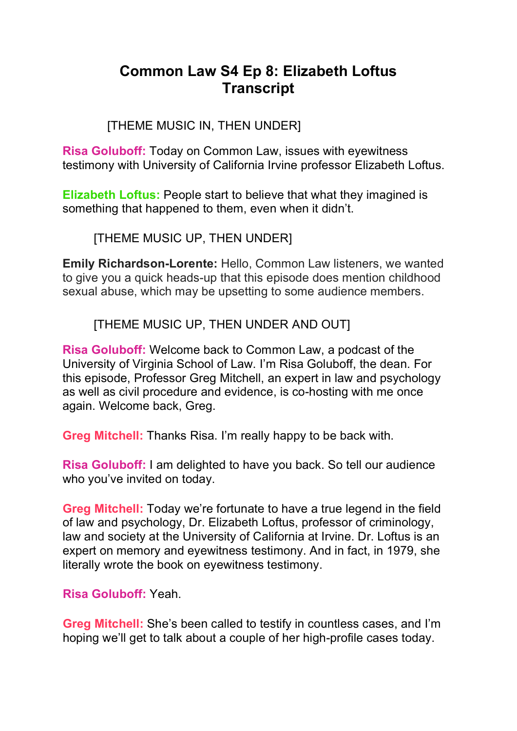# **Common Law S4 Ep 8: Elizabeth Loftus Transcript**

## [THEME MUSIC IN, THEN UNDER]

**Risa Goluboff:** Today on Common Law, issues with eyewitness testimony with University of California Irvine professor Elizabeth Loftus.

**Elizabeth Loftus:** People start to believe that what they imagined is something that happened to them, even when it didn't.

[THEME MUSIC UP, THEN UNDER]

**Emily Richardson-Lorente:** Hello, Common Law listeners, we wanted to give you a quick heads-up that this episode does mention childhood sexual abuse, which may be upsetting to some audience members.

[THEME MUSIC UP, THEN UNDER AND OUT]

**Risa Goluboff:** Welcome back to Common Law, a podcast of the University of Virginia School of Law. I'm Risa Goluboff, the dean. For this episode, Professor Greg Mitchell, an expert in law and psychology as well as civil procedure and evidence, is co-hosting with me once again. Welcome back, Greg.

**Greg Mitchell:** Thanks Risa. I'm really happy to be back with.

**Risa Goluboff:** I am delighted to have you back. So tell our audience who you've invited on today.

**Greg Mitchell:** Today we're fortunate to have a true legend in the field of law and psychology, Dr. Elizabeth Loftus, professor of criminology, law and society at the University of California at Irvine. Dr. Loftus is an expert on memory and eyewitness testimony. And in fact, in 1979, she literally wrote the book on eyewitness testimony.

**Risa Goluboff:** Yeah.

**Greg Mitchell:** She's been called to testify in countless cases, and I'm hoping we'll get to talk about a couple of her high-profile cases today.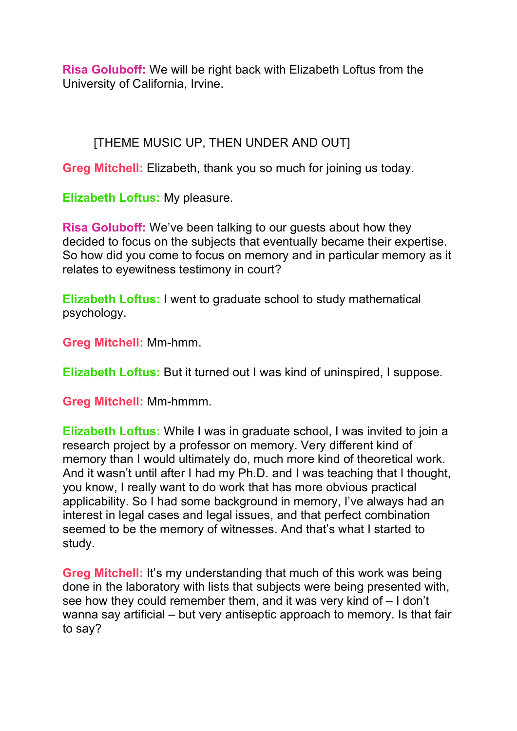**Risa Goluboff:** We will be right back with Elizabeth Loftus from the University of California, Irvine.

## [THEME MUSIC UP, THEN UNDER AND OUT]

**Greg Mitchell:** Elizabeth, thank you so much for joining us today.

**Elizabeth Loftus:** My pleasure.

**Risa Goluboff:** We've been talking to our guests about how they decided to focus on the subjects that eventually became their expertise. So how did you come to focus on memory and in particular memory as it relates to eyewitness testimony in court?

**Elizabeth Loftus:** I went to graduate school to study mathematical psychology.

**Greg Mitchell:** Mm-hmm.

**Elizabeth Loftus:** But it turned out I was kind of uninspired, I suppose.

**Greg Mitchell:** Mm-hmmm.

**Elizabeth Loftus:** While I was in graduate school, I was invited to join a research project by a professor on memory. Very different kind of memory than I would ultimately do, much more kind of theoretical work. And it wasn't until after I had my Ph.D. and I was teaching that I thought, you know, I really want to do work that has more obvious practical applicability. So I had some background in memory, I've always had an interest in legal cases and legal issues, and that perfect combination seemed to be the memory of witnesses. And that's what I started to study.

**Greg Mitchell:** It's my understanding that much of this work was being done in the laboratory with lists that subjects were being presented with, see how they could remember them, and it was very kind of – I don't wanna say artificial – but very antiseptic approach to memory. Is that fair to say?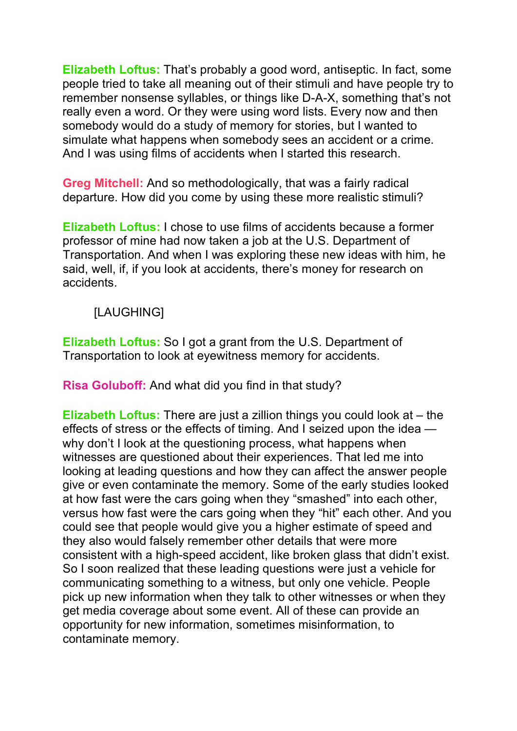**Elizabeth Loftus:** That's probably a good word, antiseptic. In fact, some people tried to take all meaning out of their stimuli and have people try to remember nonsense syllables, or things like D-A-X, something that's not really even a word. Or they were using word lists. Every now and then somebody would do a study of memory for stories, but I wanted to simulate what happens when somebody sees an accident or a crime. And I was using films of accidents when I started this research.

**Greg Mitchell:** And so methodologically, that was a fairly radical departure. How did you come by using these more realistic stimuli?

**Elizabeth Loftus:** I chose to use films of accidents because a former professor of mine had now taken a job at the U.S. Department of Transportation. And when I was exploring these new ideas with him, he said, well, if, if you look at accidents, there's money for research on accidents.

[LAUGHING]

**Elizabeth Loftus:** So I got a grant from the U.S. Department of Transportation to look at eyewitness memory for accidents.

**Risa Goluboff:** And what did you find in that study?

**Elizabeth Loftus:** There are just a zillion things you could look at – the effects of stress or the effects of timing. And I seized upon the idea why don't I look at the questioning process, what happens when witnesses are questioned about their experiences. That led me into looking at leading questions and how they can affect the answer people give or even contaminate the memory. Some of the early studies looked at how fast were the cars going when they "smashed" into each other, versus how fast were the cars going when they "hit" each other. And you could see that people would give you a higher estimate of speed and they also would falsely remember other details that were more consistent with a high-speed accident, like broken glass that didn't exist. So I soon realized that these leading questions were just a vehicle for communicating something to a witness, but only one vehicle. People pick up new information when they talk to other witnesses or when they get media coverage about some event. All of these can provide an opportunity for new information, sometimes misinformation, to contaminate memory.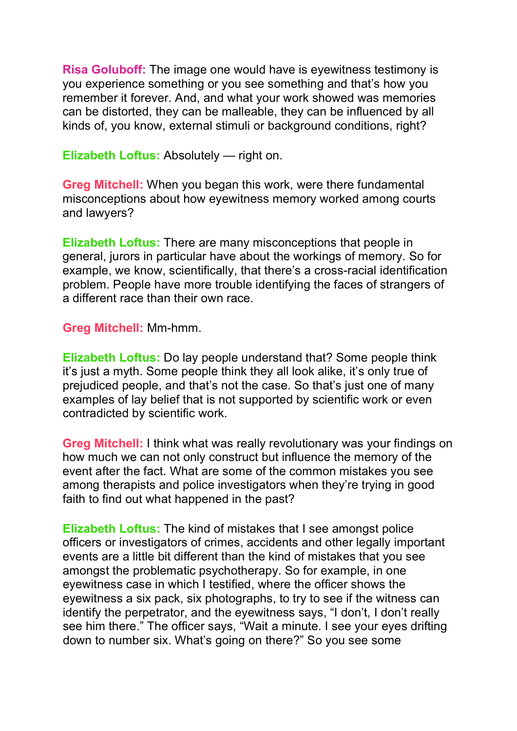**Risa Goluboff:** The image one would have is eyewitness testimony is you experience something or you see something and that's how you remember it forever. And, and what your work showed was memories can be distorted, they can be malleable, they can be influenced by all kinds of, you know, external stimuli or background conditions, right?

**Elizabeth Loftus:** Absolutely — right on.

**Greg Mitchell:** When you began this work, were there fundamental misconceptions about how eyewitness memory worked among courts and lawyers?

**Elizabeth Loftus:** There are many misconceptions that people in general, jurors in particular have about the workings of memory. So for example, we know, scientifically, that there's a cross-racial identification problem. People have more trouble identifying the faces of strangers of a different race than their own race.

**Greg Mitchell:** Mm-hmm.

**Elizabeth Loftus:** Do lay people understand that? Some people think it's just a myth. Some people think they all look alike, it's only true of prejudiced people, and that's not the case. So that's just one of many examples of lay belief that is not supported by scientific work or even contradicted by scientific work.

**Greg Mitchell:** I think what was really revolutionary was your findings on how much we can not only construct but influence the memory of the event after the fact. What are some of the common mistakes you see among therapists and police investigators when they're trying in good faith to find out what happened in the past?

**Elizabeth Loftus:** The kind of mistakes that I see amongst police officers or investigators of crimes, accidents and other legally important events are a little bit different than the kind of mistakes that you see amongst the problematic psychotherapy. So for example, in one eyewitness case in which I testified, where the officer shows the eyewitness a six pack, six photographs, to try to see if the witness can identify the perpetrator, and the eyewitness says, "I don't, I don't really see him there." The officer says, "Wait a minute. I see your eyes drifting down to number six. What's going on there?" So you see some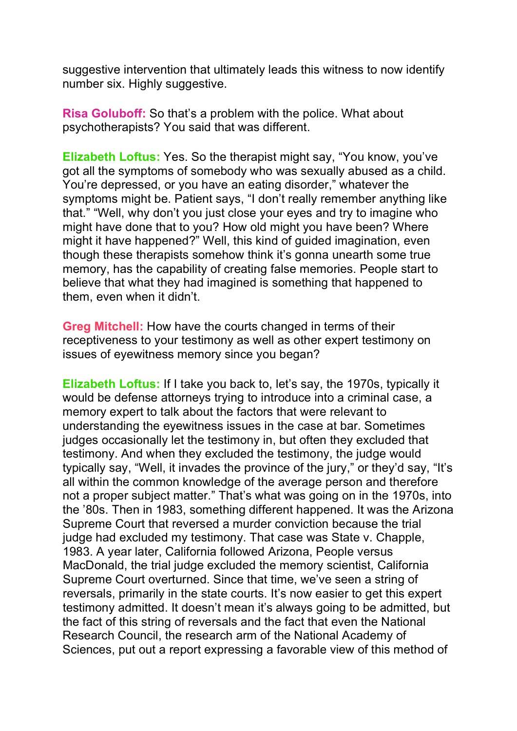suggestive intervention that ultimately leads this witness to now identify number six. Highly suggestive.

**Risa Goluboff:** So that's a problem with the police. What about psychotherapists? You said that was different.

**Elizabeth Loftus:** Yes. So the therapist might say, "You know, you've got all the symptoms of somebody who was sexually abused as a child. You're depressed, or you have an eating disorder," whatever the symptoms might be. Patient says, "I don't really remember anything like that." "Well, why don't you just close your eyes and try to imagine who might have done that to you? How old might you have been? Where might it have happened?" Well, this kind of guided imagination, even though these therapists somehow think it's gonna unearth some true memory, has the capability of creating false memories. People start to believe that what they had imagined is something that happened to them, even when it didn't.

**Greg Mitchell:** How have the courts changed in terms of their receptiveness to your testimony as well as other expert testimony on issues of eyewitness memory since you began?

**Elizabeth Loftus:** If I take you back to, let's say, the 1970s, typically it would be defense attorneys trying to introduce into a criminal case, a memory expert to talk about the factors that were relevant to understanding the eyewitness issues in the case at bar. Sometimes judges occasionally let the testimony in, but often they excluded that testimony. And when they excluded the testimony, the judge would typically say, "Well, it invades the province of the jury," or they'd say, "It's all within the common knowledge of the average person and therefore not a proper subject matter." That's what was going on in the 1970s, into the '80s. Then in 1983, something different happened. It was the Arizona Supreme Court that reversed a murder conviction because the trial judge had excluded my testimony. That case was State v. Chapple, 1983. A year later, California followed Arizona, People versus MacDonald, the trial judge excluded the memory scientist, California Supreme Court overturned. Since that time, we've seen a string of reversals, primarily in the state courts. It's now easier to get this expert testimony admitted. It doesn't mean it's always going to be admitted, but the fact of this string of reversals and the fact that even the National Research Council, the research arm of the National Academy of Sciences, put out a report expressing a favorable view of this method of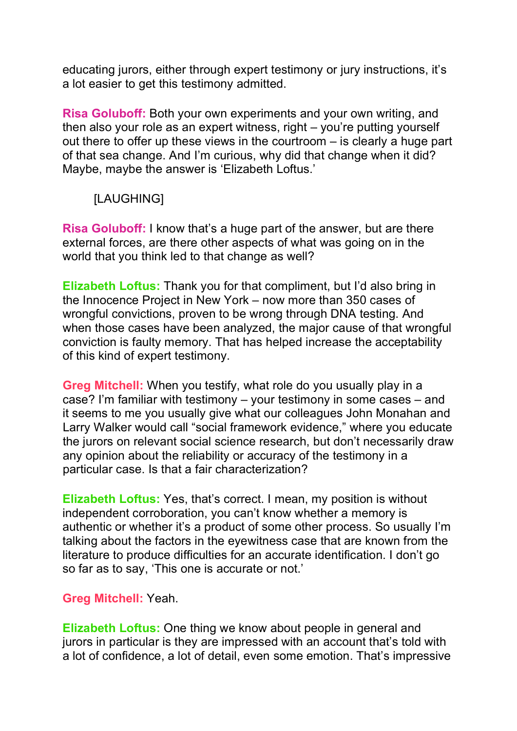educating jurors, either through expert testimony or jury instructions, it's a lot easier to get this testimony admitted.

**Risa Goluboff:** Both your own experiments and your own writing, and then also your role as an expert witness, right – you're putting yourself out there to offer up these views in the courtroom – is clearly a huge part of that sea change. And I'm curious, why did that change when it did? Maybe, maybe the answer is 'Elizabeth Loftus.'

## [LAUGHING]

**Risa Goluboff:** I know that's a huge part of the answer, but are there external forces, are there other aspects of what was going on in the world that you think led to that change as well?

**Elizabeth Loftus:** Thank you for that compliment, but I'd also bring in the Innocence Project in New York – now more than 350 cases of wrongful convictions, proven to be wrong through DNA testing. And when those cases have been analyzed, the major cause of that wrongful conviction is faulty memory. That has helped increase the acceptability of this kind of expert testimony.

**Greg Mitchell:** When you testify, what role do you usually play in a case? I'm familiar with testimony – your testimony in some cases – and it seems to me you usually give what our colleagues John Monahan and Larry Walker would call "social framework evidence," where you educate the jurors on relevant social science research, but don't necessarily draw any opinion about the reliability or accuracy of the testimony in a particular case. Is that a fair characterization?

**Elizabeth Loftus:** Yes, that's correct. I mean, my position is without independent corroboration, you can't know whether a memory is authentic or whether it's a product of some other process. So usually I'm talking about the factors in the eyewitness case that are known from the literature to produce difficulties for an accurate identification. I don't go so far as to say, 'This one is accurate or not.'

### **Greg Mitchell:** Yeah.

**Elizabeth Loftus:** One thing we know about people in general and jurors in particular is they are impressed with an account that's told with a lot of confidence, a lot of detail, even some emotion. That's impressive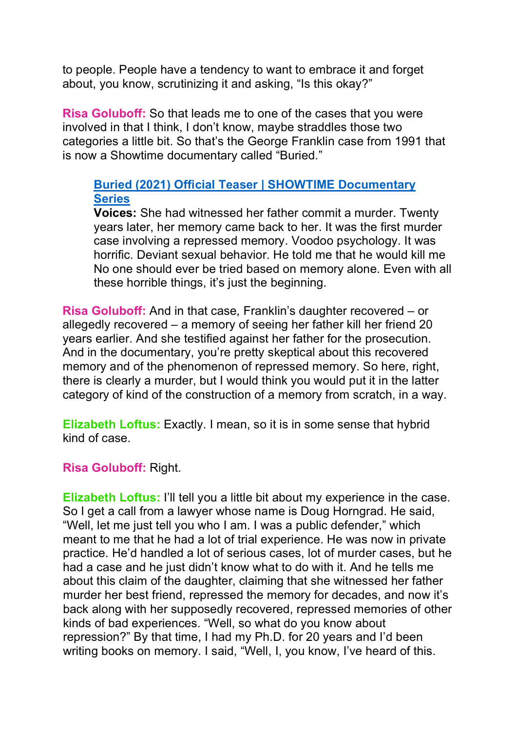to people. People have a tendency to want to embrace it and forget about, you know, scrutinizing it and asking, "Is this okay?"

**Risa Goluboff:** So that leads me to one of the cases that you were involved in that I think, I don't know, maybe straddles those two categories a little bit. So that's the George Franklin case from 1991 that is now a Showtime documentary called "Buried."

## **Buried (2021) Official [Teaser | SHOWTIME](https://www.youtube.com/watch?v=MElWc1ACVvM) Documentary [Series](https://www.youtube.com/watch?v=MElWc1ACVvM)**

**Voices:** She had witnessed her father commit a murder. Twenty years later, her memory came back to her. It was the first murder case involving a repressed memory. Voodoo psychology. It was horrific. Deviant sexual behavior. He told me that he would kill me No one should ever be tried based on memory alone. Even with all these horrible things, it's just the beginning.

**Risa Goluboff:** And in that case, Franklin's daughter recovered – or allegedly recovered – a memory of seeing her father kill her friend 20 years earlier. And she testified against her father for the prosecution. And in the documentary, you're pretty skeptical about this recovered memory and of the phenomenon of repressed memory. So here, right, there is clearly a murder, but I would think you would put it in the latter category of kind of the construction of a memory from scratch, in a way.

**Elizabeth Loftus:** Exactly. I mean, so it is in some sense that hybrid kind of case.

### **Risa Goluboff:** Right.

**Elizabeth Loftus:** I'll tell you a little bit about my experience in the case. So I get a call from a lawyer whose name is Doug Horngrad. He said, "Well, let me just tell you who I am. I was a public defender," which meant to me that he had a lot of trial experience. He was now in private practice. He'd handled a lot of serious cases, lot of murder cases, but he had a case and he just didn't know what to do with it. And he tells me about this claim of the daughter, claiming that she witnessed her father murder her best friend, repressed the memory for decades, and now it's back along with her supposedly recovered, repressed memories of other kinds of bad experiences. "Well, so what do you know about repression?" By that time, I had my Ph.D. for 20 years and I'd been writing books on memory. I said, "Well, I, you know, I've heard of this.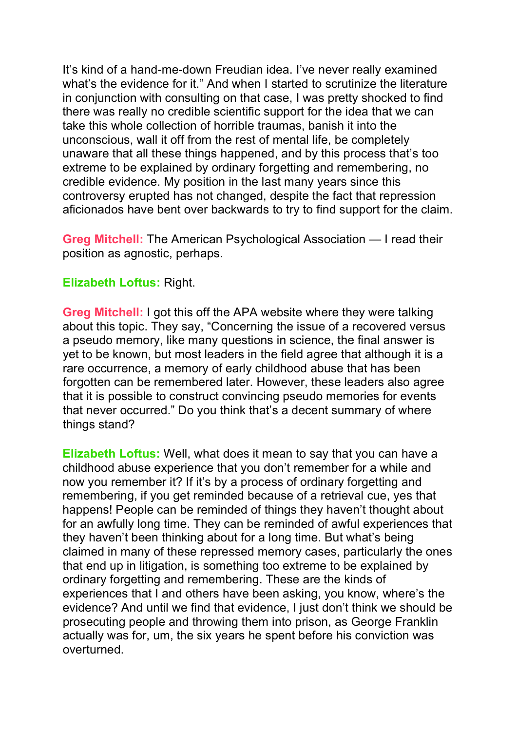It's kind of a hand-me-down Freudian idea. I've never really examined what's the evidence for it." And when I started to scrutinize the literature in conjunction with consulting on that case, I was pretty shocked to find there was really no credible scientific support for the idea that we can take this whole collection of horrible traumas, banish it into the unconscious, wall it off from the rest of mental life, be completely unaware that all these things happened, and by this process that's too extreme to be explained by ordinary forgetting and remembering, no credible evidence. My position in the last many years since this controversy erupted has not changed, despite the fact that repression aficionados have bent over backwards to try to find support for the claim.

**Greg Mitchell:** The American Psychological Association — I read their position as agnostic, perhaps.

#### **Elizabeth Loftus:** Right.

**Greg Mitchell:** I got this off the APA website where they were talking about this topic. They say, "Concerning the issue of a recovered versus a pseudo memory, like many questions in science, the final answer is yet to be known, but most leaders in the field agree that although it is a rare occurrence, a memory of early childhood abuse that has been forgotten can be remembered later. However, these leaders also agree that it is possible to construct convincing pseudo memories for events that never occurred." Do you think that's a decent summary of where things stand?

**Elizabeth Loftus:** Well, what does it mean to say that you can have a childhood abuse experience that you don't remember for a while and now you remember it? If it's by a process of ordinary forgetting and remembering, if you get reminded because of a retrieval cue, yes that happens! People can be reminded of things they haven't thought about for an awfully long time. They can be reminded of awful experiences that they haven't been thinking about for a long time. But what's being claimed in many of these repressed memory cases, particularly the ones that end up in litigation, is something too extreme to be explained by ordinary forgetting and remembering. These are the kinds of experiences that I and others have been asking, you know, where's the evidence? And until we find that evidence, I just don't think we should be prosecuting people and throwing them into prison, as George Franklin actually was for, um, the six years he spent before his conviction was overturned.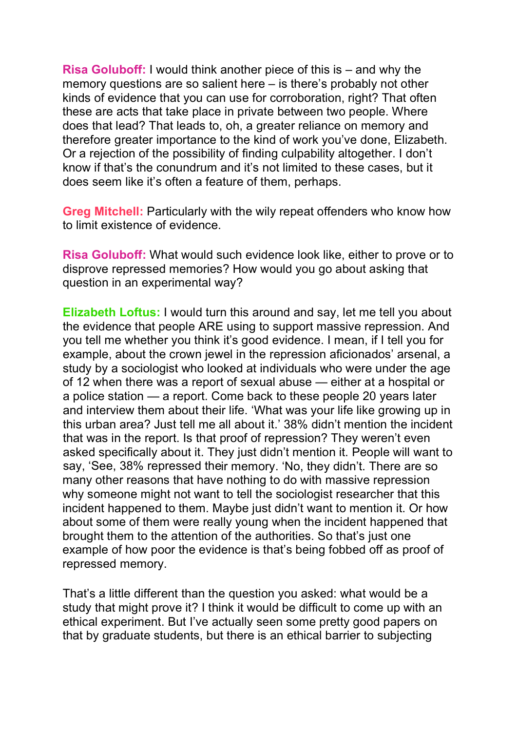**Risa Goluboff:** I would think another piece of this is – and why the memory questions are so salient here – is there's probably not other kinds of evidence that you can use for corroboration, right? That often these are acts that take place in private between two people. Where does that lead? That leads to, oh, a greater reliance on memory and therefore greater importance to the kind of work you've done, Elizabeth. Or a rejection of the possibility of finding culpability altogether. I don't know if that's the conundrum and it's not limited to these cases, but it does seem like it's often a feature of them, perhaps.

**Greg Mitchell:** Particularly with the wily repeat offenders who know how to limit existence of evidence.

**Risa Goluboff:** What would such evidence look like, either to prove or to disprove repressed memories? How would you go about asking that question in an experimental way?

**Elizabeth Loftus:** I would turn this around and say, let me tell you about the evidence that people ARE using to support massive repression. And you tell me whether you think it's good evidence. I mean, if I tell you for example, about the crown jewel in the repression aficionados' arsenal, a study by a sociologist who looked at individuals who were under the age of 12 when there was a report of sexual abuse — either at a hospital or a police station — a report. Come back to these people 20 years later and interview them about their life. 'What was your life like growing up in this urban area? Just tell me all about it.' 38% didn't mention the incident that was in the report. Is that proof of repression? They weren't even asked specifically about it. They just didn't mention it. People will want to say, 'See, 38% repressed their memory. 'No, they didn't. There are so many other reasons that have nothing to do with massive repression why someone might not want to tell the sociologist researcher that this incident happened to them. Maybe just didn't want to mention it. Or how about some of them were really young when the incident happened that brought them to the attention of the authorities. So that's just one example of how poor the evidence is that's being fobbed off as proof of repressed memory.

That's a little different than the question you asked: what would be a study that might prove it? I think it would be difficult to come up with an ethical experiment. But I've actually seen some pretty good papers on that by graduate students, but there is an ethical barrier to subjecting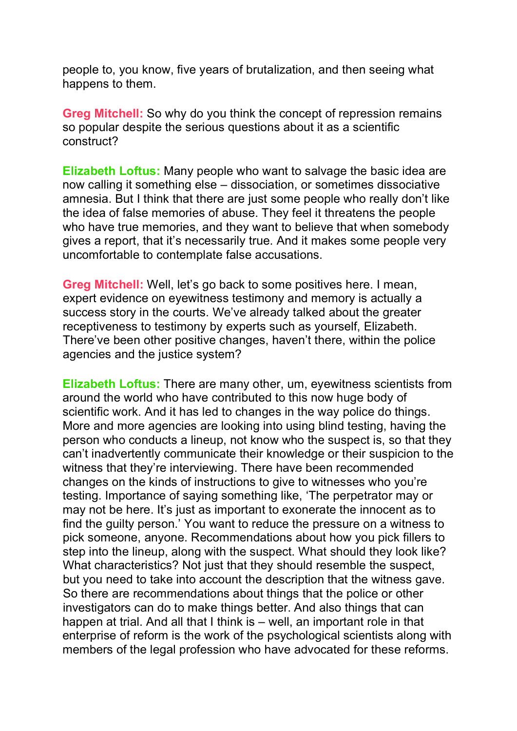people to, you know, five years of brutalization, and then seeing what happens to them.

**Greg Mitchell:** So why do you think the concept of repression remains so popular despite the serious questions about it as a scientific construct?

**Elizabeth Loftus:** Many people who want to salvage the basic idea are now calling it something else – dissociation, or sometimes dissociative amnesia. But I think that there are just some people who really don't like the idea of false memories of abuse. They feel it threatens the people who have true memories, and they want to believe that when somebody gives a report, that it's necessarily true. And it makes some people very uncomfortable to contemplate false accusations.

**Greg Mitchell:** Well, let's go back to some positives here. I mean, expert evidence on eyewitness testimony and memory is actually a success story in the courts. We've already talked about the greater receptiveness to testimony by experts such as yourself, Elizabeth. There've been other positive changes, haven't there, within the police agencies and the justice system?

**Elizabeth Loftus:** There are many other, um, eyewitness scientists from around the world who have contributed to this now huge body of scientific work. And it has led to changes in the way police do things. More and more agencies are looking into using blind testing, having the person who conducts a lineup, not know who the suspect is, so that they can't inadvertently communicate their knowledge or their suspicion to the witness that they're interviewing. There have been recommended changes on the kinds of instructions to give to witnesses who you're testing. Importance of saying something like, 'The perpetrator may or may not be here. It's just as important to exonerate the innocent as to find the guilty person.' You want to reduce the pressure on a witness to pick someone, anyone. Recommendations about how you pick fillers to step into the lineup, along with the suspect. What should they look like? What characteristics? Not just that they should resemble the suspect, but you need to take into account the description that the witness gave. So there are recommendations about things that the police or other investigators can do to make things better. And also things that can happen at trial. And all that I think is – well, an important role in that enterprise of reform is the work of the psychological scientists along with members of the legal profession who have advocated for these reforms.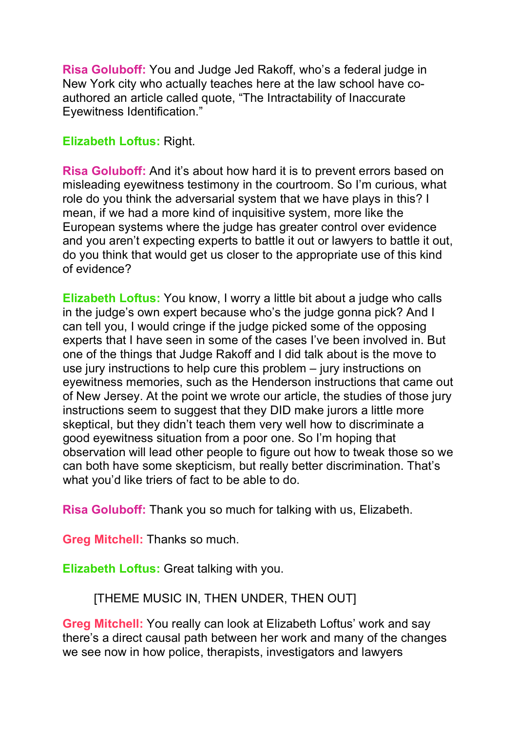**Risa Goluboff:** You and Judge Jed Rakoff, who's a federal judge in New York city who actually teaches here at the law school have coauthored an article called quote, "The Intractability of Inaccurate Eyewitness Identification."

#### **Elizabeth Loftus:** Right.

**Risa Goluboff:** And it's about how hard it is to prevent errors based on misleading eyewitness testimony in the courtroom. So I'm curious, what role do you think the adversarial system that we have plays in this? I mean, if we had a more kind of inquisitive system, more like the European systems where the judge has greater control over evidence and you aren't expecting experts to battle it out or lawyers to battle it out, do you think that would get us closer to the appropriate use of this kind of evidence?

**Elizabeth Loftus:** You know, I worry a little bit about a judge who calls in the judge's own expert because who's the judge gonna pick? And I can tell you, I would cringe if the judge picked some of the opposing experts that I have seen in some of the cases I've been involved in. But one of the things that Judge Rakoff and I did talk about is the move to use jury instructions to help cure this problem – jury instructions on eyewitness memories, such as the Henderson instructions that came out of New Jersey. At the point we wrote our article, the studies of those jury instructions seem to suggest that they DID make jurors a little more skeptical, but they didn't teach them very well how to discriminate a good eyewitness situation from a poor one. So I'm hoping that observation will lead other people to figure out how to tweak those so we can both have some skepticism, but really better discrimination. That's what you'd like triers of fact to be able to do.

**Risa Goluboff:** Thank you so much for talking with us, Elizabeth.

**Greg Mitchell:** Thanks so much.

**Elizabeth Loftus:** Great talking with you.

[THEME MUSIC IN, THEN UNDER, THEN OUT]

**Greg Mitchell:** You really can look at Elizabeth Loftus' work and say there's a direct causal path between her work and many of the changes we see now in how police, therapists, investigators and lawyers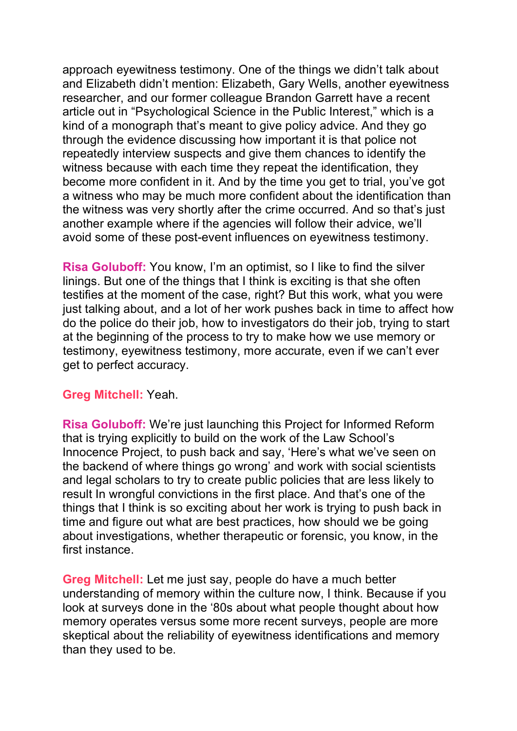approach eyewitness testimony. One of the things we didn't talk about and Elizabeth didn't mention: Elizabeth, Gary Wells, another eyewitness researcher, and our former colleague Brandon Garrett have a recent article out in "Psychological Science in the Public Interest," which is a kind of a monograph that's meant to give policy advice. And they go through the evidence discussing how important it is that police not repeatedly interview suspects and give them chances to identify the witness because with each time they repeat the identification, they become more confident in it. And by the time you get to trial, you've got a witness who may be much more confident about the identification than the witness was very shortly after the crime occurred. And so that's just another example where if the agencies will follow their advice, we'll avoid some of these post-event influences on eyewitness testimony.

**Risa Goluboff:** You know, I'm an optimist, so I like to find the silver linings. But one of the things that I think is exciting is that she often testifies at the moment of the case, right? But this work, what you were just talking about, and a lot of her work pushes back in time to affect how do the police do their job, how to investigators do their job, trying to start at the beginning of the process to try to make how we use memory or testimony, eyewitness testimony, more accurate, even if we can't ever get to perfect accuracy.

#### **Greg Mitchell:** Yeah.

**Risa Goluboff:** We're just launching this Project for Informed Reform that is trying explicitly to build on the work of the Law School's Innocence Project, to push back and say, 'Here's what we've seen on the backend of where things go wrong' and work with social scientists and legal scholars to try to create public policies that are less likely to result In wrongful convictions in the first place. And that's one of the things that I think is so exciting about her work is trying to push back in time and figure out what are best practices, how should we be going about investigations, whether therapeutic or forensic, you know, in the first instance.

**Greg Mitchell:** Let me just say, people do have a much better understanding of memory within the culture now, I think. Because if you look at surveys done in the '80s about what people thought about how memory operates versus some more recent surveys, people are more skeptical about the reliability of eyewitness identifications and memory than they used to be.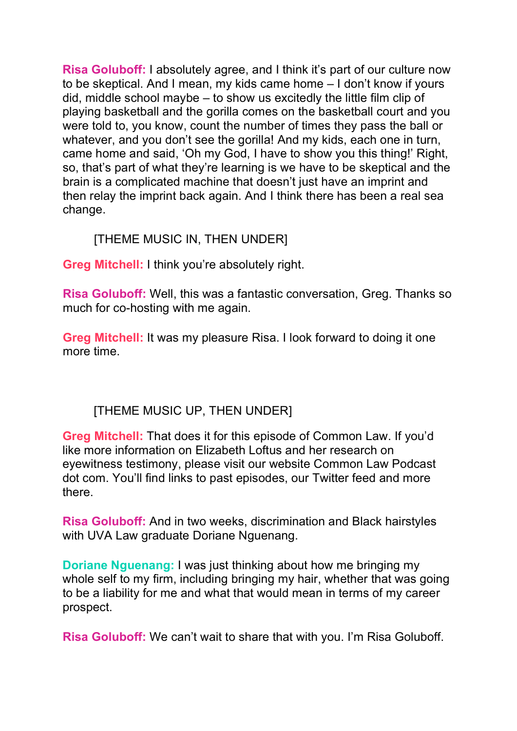**Risa Goluboff:** I absolutely agree, and I think it's part of our culture now to be skeptical. And I mean, my kids came home – I don't know if yours did, middle school maybe – to show us excitedly the little film clip of playing basketball and the gorilla comes on the basketball court and you were told to, you know, count the number of times they pass the ball or whatever, and you don't see the gorilla! And my kids, each one in turn, came home and said, 'Oh my God, I have to show you this thing!' Right, so, that's part of what they're learning is we have to be skeptical and the brain is a complicated machine that doesn't just have an imprint and then relay the imprint back again. And I think there has been a real sea change.

## [THEME MUSIC IN, THEN UNDER]

**Greg Mitchell:** I think you're absolutely right.

**Risa Goluboff:** Well, this was a fantastic conversation, Greg. Thanks so much for co-hosting with me again.

**Greg Mitchell:** It was my pleasure Risa. I look forward to doing it one more time.

## [THEME MUSIC UP, THEN UNDER]

**Greg Mitchell:** That does it for this episode of Common Law. If you'd like more information on Elizabeth Loftus and her research on eyewitness testimony, please visit our website Common Law Podcast dot com. You'll find links to past episodes, our Twitter feed and more there.

**Risa Goluboff:** And in two weeks, discrimination and Black hairstyles with UVA Law graduate Doriane Nguenang.

**Doriane Nguenang:** I was just thinking about how me bringing my whole self to my firm, including bringing my hair, whether that was going to be a liability for me and what that would mean in terms of my career prospect.

**Risa Goluboff:** We can't wait to share that with you. I'm Risa Goluboff.